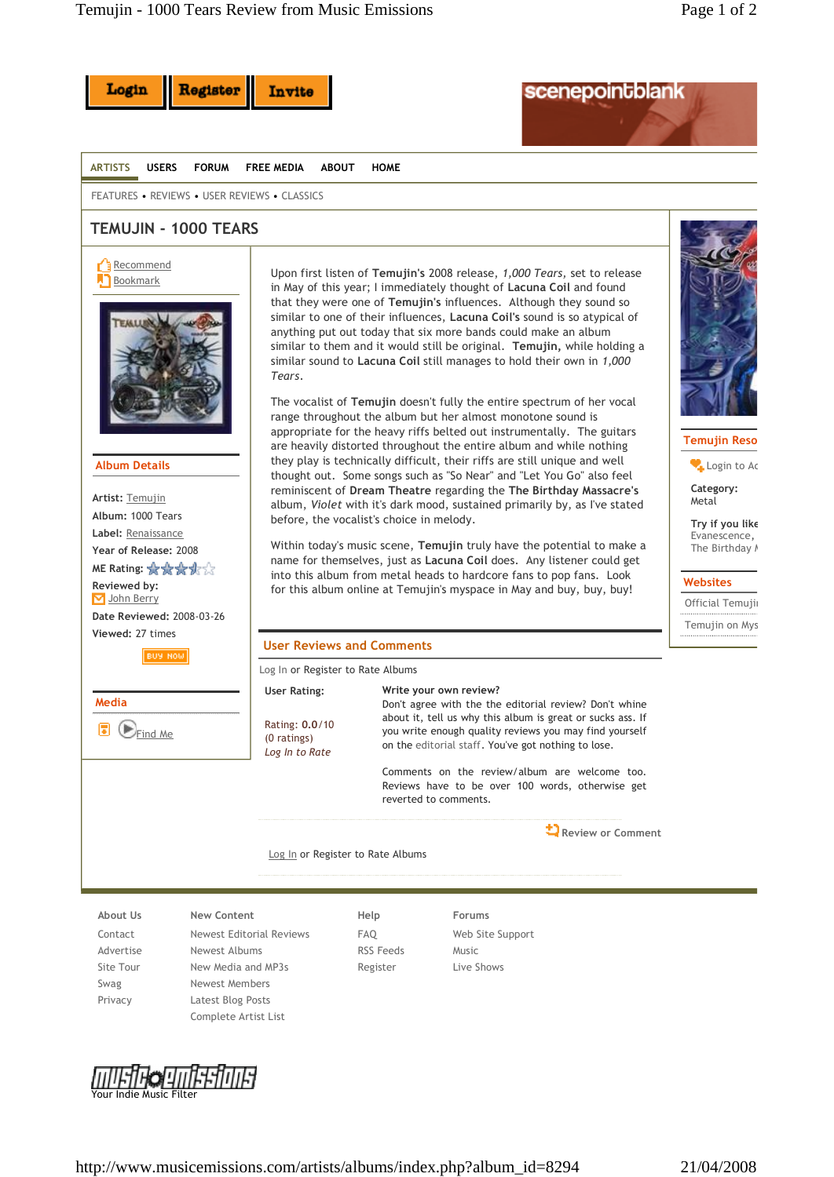